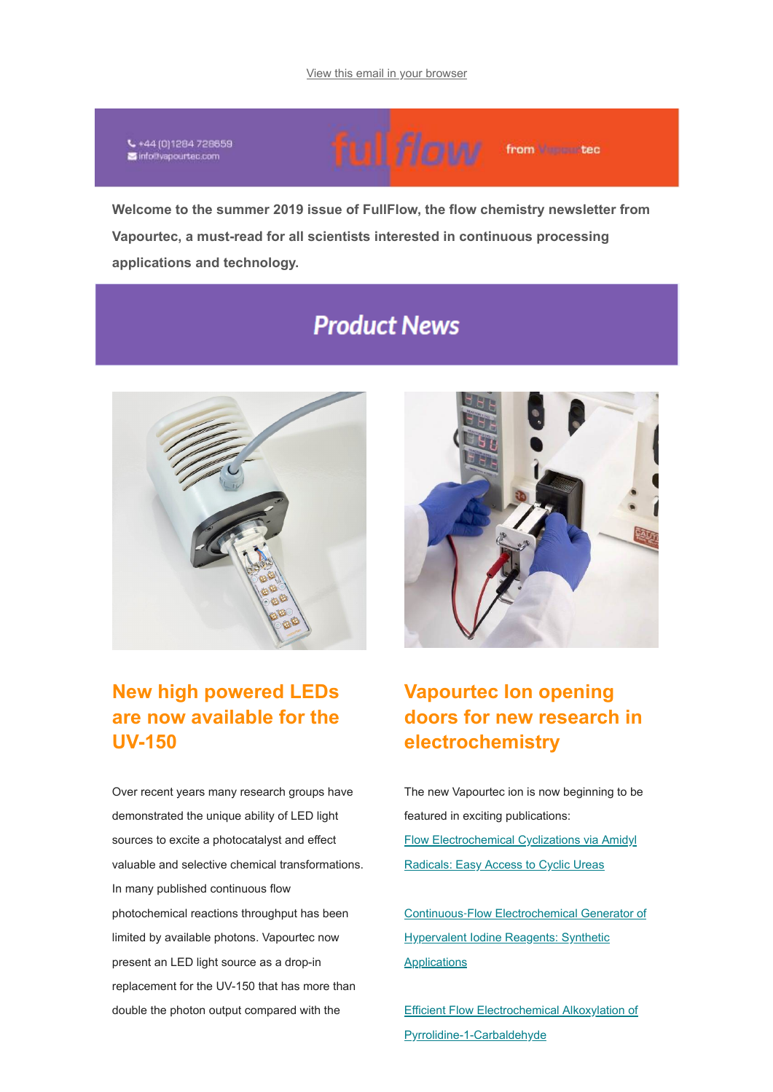€ +44 (0)1284 728659 info@vapourtec.com

ful flaw from Number

**Welcome to the summer 2019 issue of FullFlow, the flow chemistry newsletter from Vapourtec, a must-read for all scientists interested in continuous processing applications and technology.**

# **Product News**



## **New high powered LEDs are now available for the UV-150**

Over recent years many research groups have demonstrated the unique ability of LED light sources to excite a photocatalyst and effect valuable and selective chemical transformations. In many published continuous flow photochemical reactions throughput has been limited by available photons. Vapourtec now present an LED light source as a drop-in replacement for the UV-150 that has more than double the photon output compared with the



## **Vapourtec Ion opening doors for new research in electrochemistry**

The new Vapourtec ion is now beginning to be featured in exciting publications: [Flow Electrochemical Cyclizations via Amidyl](https://www.vapourtec.com/flow-chemistry-resource-centre/flow-electrochemical-cyclizations-via-amidyl-radicals-easy-access-cyclic-ureas/) Radicals: Easy Access to Cyclic Ureas

Continuous‐Flow Electrochemical Generator of [Hypervalent Iodine Reagents: Synthetic](https://www.vapourtec.com/flow-chemistry-resource-centre/continuous%e2%80%90flow-electrochemical-generator-of-hypervalent-iodine-reagents-synthetic-applications/) Applications

[Efficient Flow Electrochemical Alkoxylation of](https://www.vapourtec.com/flow-chemistry-resource-centre/efficient-flow-electrochemical-alkoxylation-pyrrolidine-1-carbaldehyde/) Pyrrolidine-1-Carbaldehyde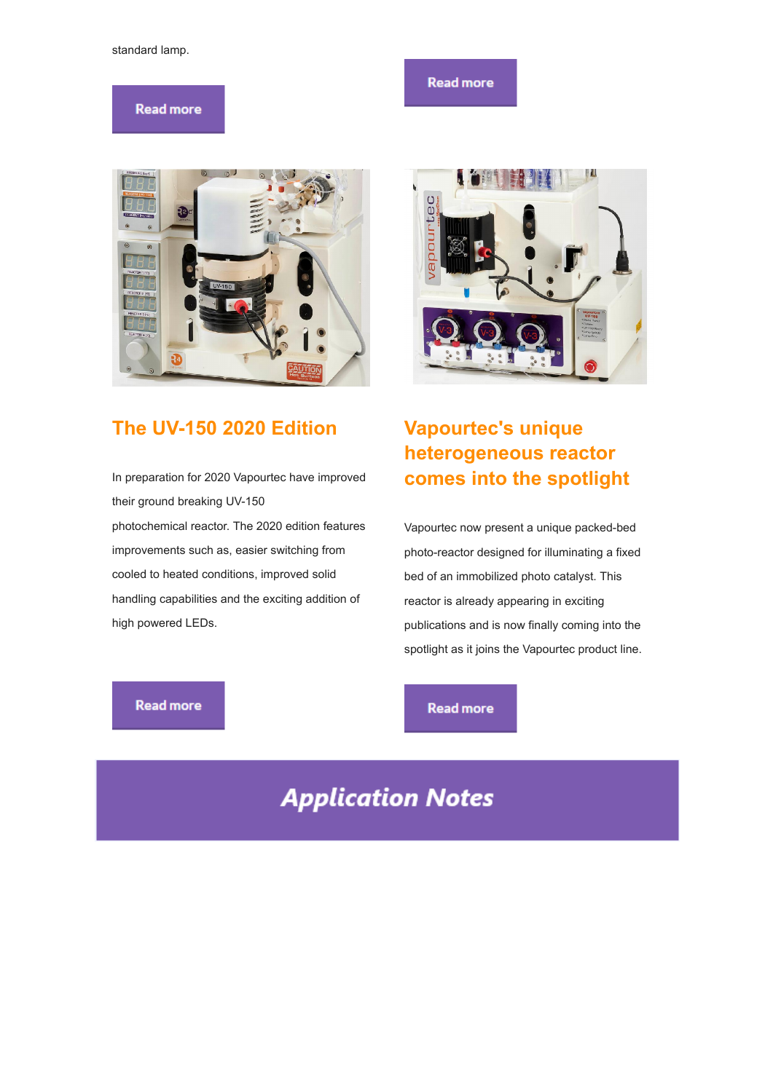#### standard lamp.

#### **Read more**

### **Read more**



### **The UV-150 2020 Edition**

In preparation for 2020 Vapourtec have improved their ground breaking UV-150 photochemical reactor. The 2020 edition features improvements such as, easier switching from cooled to heated conditions, improved solid handling capabilities and the exciting addition of high powered LEDs.



## **Vapourtec's unique heterogeneous reactor comes into the spotlight**

Vapourtec now present a unique packed-bed photo-reactor designed for illuminating a fixed bed of an immobilized photo catalyst. This reactor is already appearing in exciting publications and is now finally coming into the spotlight as it joins the Vapourtec product line.

#### **Read more**

#### **Read more**

# **Application Notes**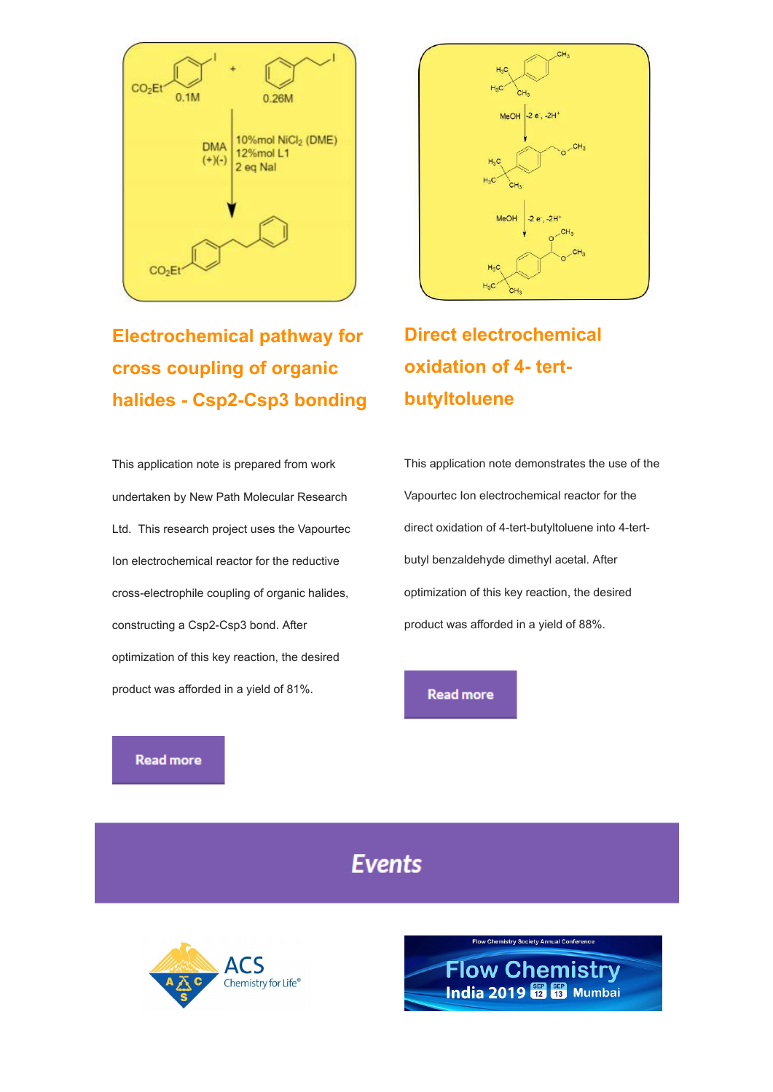

**Electrochemical pathway for cross coupling of organic halides - Csp2-Csp3 bonding**

This application note is prepared from work undertaken by New Path Molecular Research Ltd. This research project uses the Vapourtec Ion electrochemical reactor for the reductive cross-electrophile coupling of organic halides, constructing a Csp2-Csp3 bond. After optimization of this key reaction, the desired product was afforded in a yield of 81%.



# **Direct electrochemical oxidation of 4- tertbutyltoluene**

This application note demonstrates the use of the Vapourtec Ion electrochemical reactor for the direct oxidation of 4-tert-butyltoluene into 4-tertbutyl benzaldehyde dimethyl acetal. After optimization of this key reaction, the desired product was afforded in a yield of 88%.

**Read more** 

**Read more** 

## **Events**



**Flow Chemistry Society Annual Conference**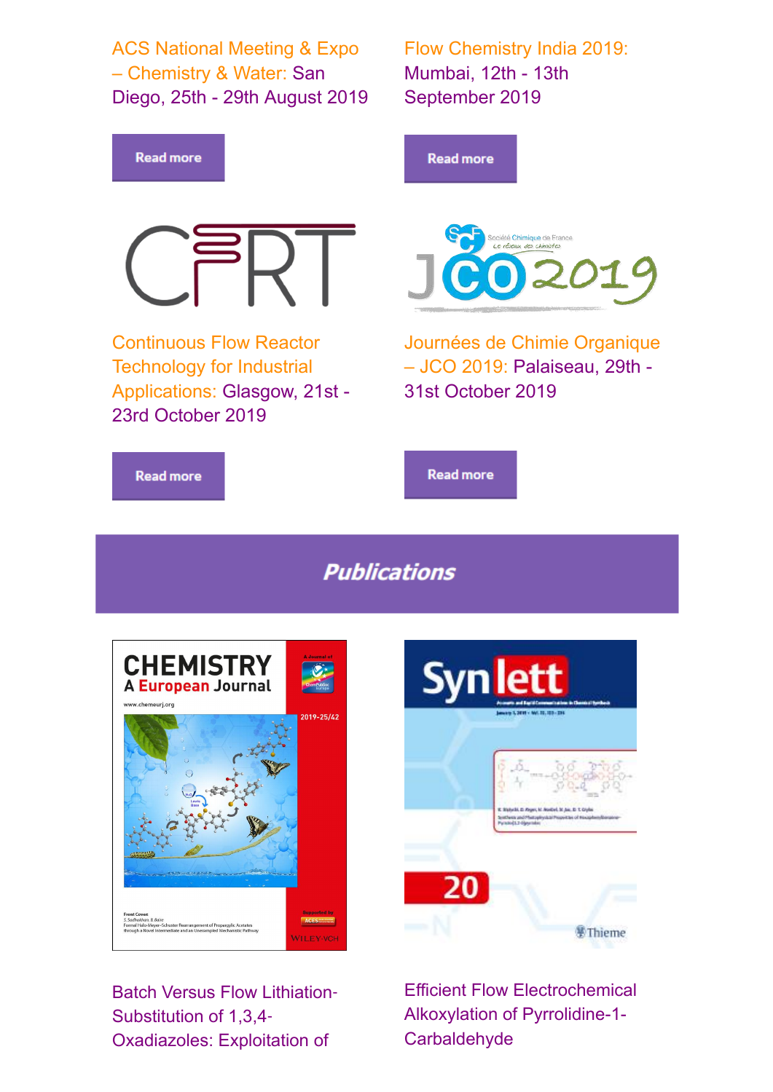ACS National Meeting & Expo – Chemistry & Water: San Diego, 25th - 29th August 2019 Flow Chemistry India 2019: Mumbai, 12th - 13th September 2019



**Publications** 



Batch Versus Flow Lithiation-Substitution of 1,3,4‐ Oxadiazoles: Exploitation of



Efficient Flow Electrochemical Alkoxylation of Pyrrolidine-1- **Carbaldehyde**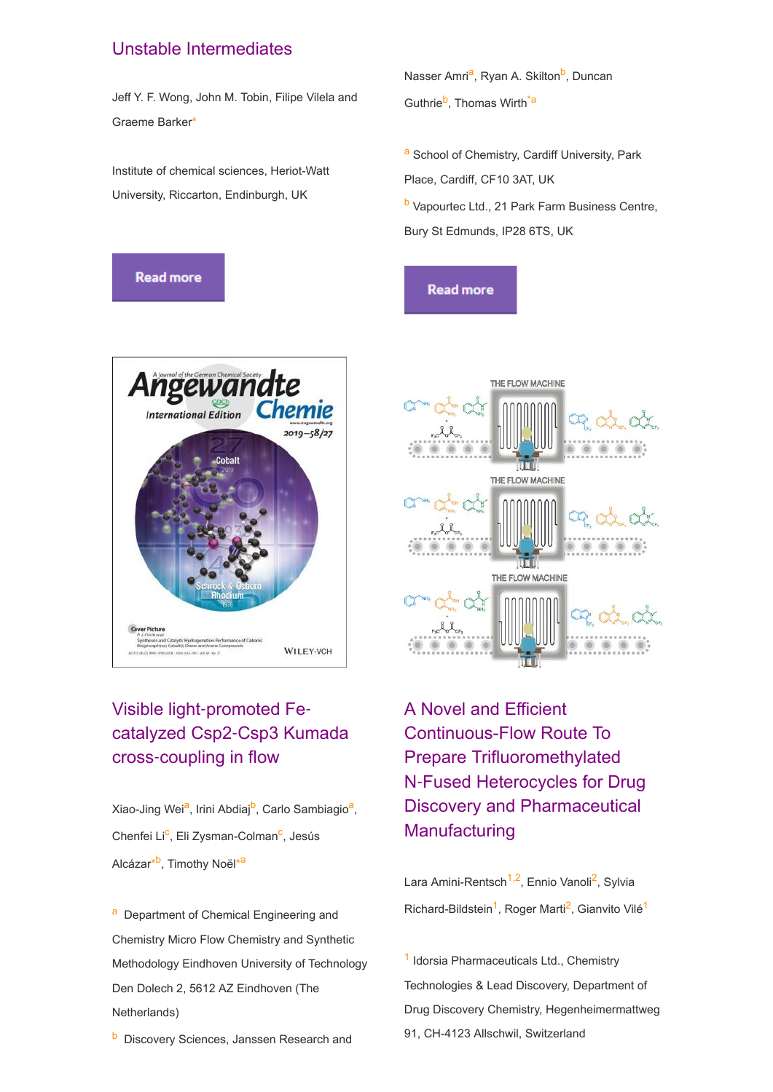### Unstable Intermediates

Jeff Y. F. Wong, John M. Tobin, Filipe Vilela and Graeme Barker\*

Institute of chemical sciences, Heriot-Watt University, Riccarton, Endinburgh, UK





## Visible light‐promoted Fe‐ catalyzed Csp2‐Csp3 Kumada cross‐coupling in flow

Xiao-Jing Wei<sup>a</sup>, Irini Abdiaj<sup>b</sup>, Carlo Sambiagio<sup>a</sup>, Chenfei Li<sup>c</sup>, Eli Zysman-Colman<sup>c</sup>, Jesús Alcázar<sup>\*b</sup>, Timothy Noël<sup>\*a</sup>

a Department of Chemical Engineering and Chemistry Micro Flow Chemistry and Synthetic Methodology Eindhoven University of Technology Den Dolech 2, 5612 AZ Eindhoven (The Netherlands)

**b** Discovery Sciences, Janssen Research and

Nasser Amri<sup>a</sup>, Ryan A. Skilton<sup>b</sup>, Duncan Guthrie<sup>b</sup>, Thomas Wirth<sup>\*a</sup>

a School of Chemistry, Cardiff University, Park Place, Cardiff, CF10 3AT, UK

**b** Vapourtec Ltd., 21 Park Farm Business Centre, Bury St Edmunds, IP28 6TS, UK

**Read more** 



A Novel and Efficient Continuous-Flow Route To Prepare Trifluoromethylated N‑Fused Heterocycles for Drug Discovery and Pharmaceutical **Manufacturing** 

Lara Amini-Rentsch<sup>1,2</sup>, Ennio Vanoli<sup>2</sup>, Sylvia Richard-Bildstein<sup>1</sup>, Roger Marti<sup>2</sup>, Gianvito Vilé<sup>1</sup>

1 Idorsia Pharmaceuticals Ltd., Chemistry Technologies & Lead Discovery, Department of Drug Discovery Chemistry, Hegenheimermattweg 91, CH-4123 Allschwil, Switzerland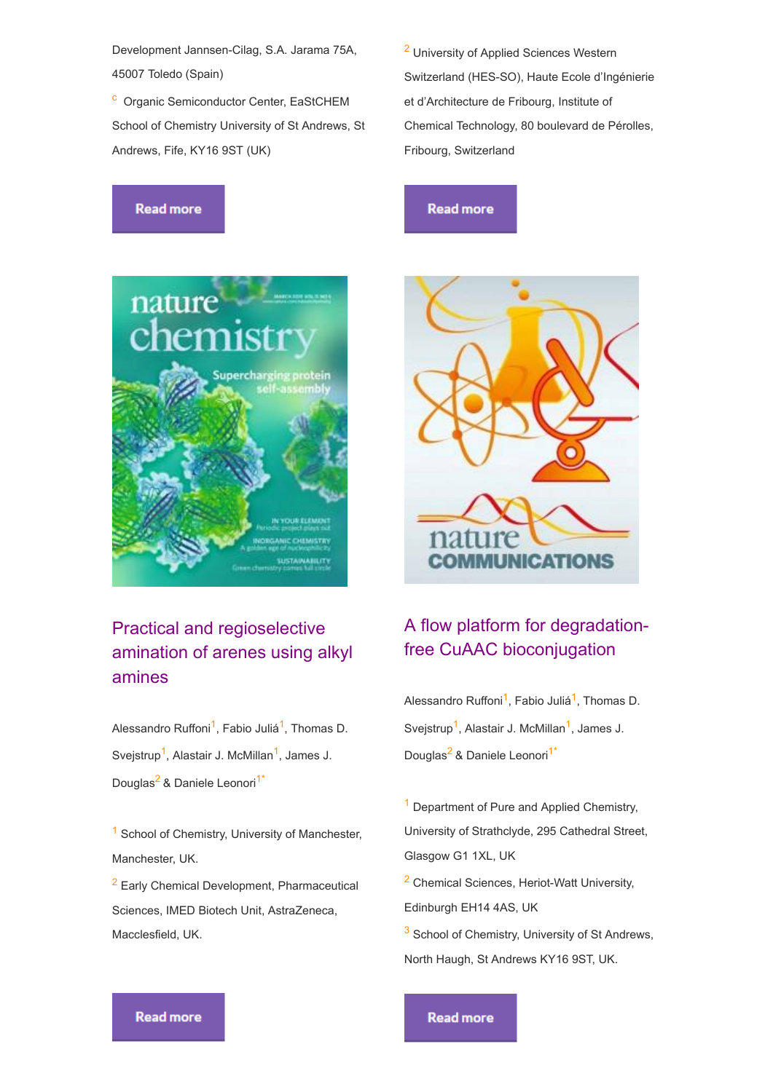Development Jannsen-Cilag, S.A. Jarama 75A, 45007 Toledo (Spain)

<sup>c</sup> Organic Semiconductor Center, EaStCHEM School of Chemistry University of St Andrews, St Andrews, Fife, KY16 9ST (UK)

**Read more** 

nature

<sup>2</sup> University of Applied Sciences Western Switzerland (HES-SO), Haute Ecole d'Ingénierie et d'Architecture de Fribourg, Institute of Chemical Technology, 80 boulevard de Pérolles, Fribourg, Switzerland

### **Read more**



## Practical and regioselective amination of arenes using alkyl amines

Alessandro Ruffoni<sup>1</sup>, Fabio Juliá<sup>1</sup>, Thomas D. Svejstrup<sup>1</sup>, Alastair J. McMillan<sup>1</sup>, James J. Douglas<sup>2</sup> & Daniele Leonori<sup>1\*</sup>

 $<sup>1</sup>$  School of Chemistry, University of Manchester,</sup> Manchester, UK.

<sup>2</sup> Early Chemical Development, Pharmaceutical Sciences, IMED Biotech Unit, AstraZeneca, Macclesfield, UK.

## A flow platform for degradationfree CuAAC bioconjugation

Alessandro Ruffoni<sup>1</sup>, Fabio Juliá<sup>1</sup>, Thomas D. Svejstrup<sup>1</sup>, Alastair J. McMillan<sup>1</sup>, James J. Douglas<sup>2</sup> & Daniele Leonori<sup>1\*</sup>

<sup>1</sup> Department of Pure and Applied Chemistry, University of Strathclyde, 295 Cathedral Street, Glasgow G1 1XL, UK

<sup>2</sup> Chemical Sciences, Heriot-Watt University, Edinburgh EH14 4AS, UK

<sup>3</sup> School of Chemistry, University of St Andrews, North Haugh, St Andrews KY16 9ST, UK.

**Read more** 

**Read more**